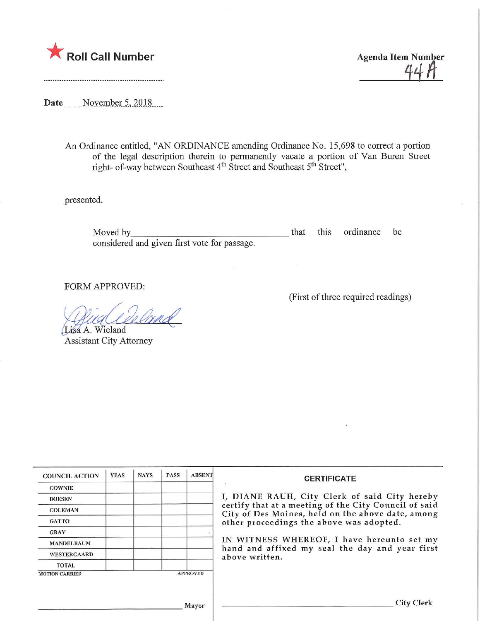

Roll Call Number  $\overline{A}$   $\overline{A}$   $\overline{A}$   $\overline{A}$   $\overline{A}$   $\overline{A}$   $\overline{A}$   $\overline{A}$   $\overline{A}$   $\overline{A}$   $\overline{A}$   $\overline{A}$   $\overline{A}$   $\overline{A}$   $\overline{A}$   $\overline{A}$   $\overline{A}$   $\overline{A}$   $\overline{A}$   $\overline{A}$   $\overline{A}$   $\overline{A}$   $\overline{A$ 

Date November 5, 2018

An Ordinance entitled, "AN ORDINANCE amending Ordinance No. 15,698 to correct a portion of the legal description therein to permanently vacate a portion of Van Buren Street right- of-way between Southeast  $4<sup>th</sup>$  Street and Southeast  $5<sup>th</sup>$  Street",

presented.

Moved by <u>that this</u> ordinance be that the ordinance be the second that this ordinance be the second of the second of the second of the second of the second of the second of the second of the second of the second of the se considered and given first vote for passage.

FORM APPROVED:

Muallelan

Lisa A. Wieland Assistant City Attorney

|  |  | (First of three required readings) |
|--|--|------------------------------------|
|  |  |                                    |

| <b>YEAS</b> | <b>NAYS</b> | <b>PASS</b> | <b>ABSENT</b> | <b>CERTIFI</b>                                                                            |
|-------------|-------------|-------------|---------------|-------------------------------------------------------------------------------------------|
|             |             |             |               |                                                                                           |
|             |             |             |               | I, DIANE RAUH, City Cle                                                                   |
|             |             |             |               | certify that at a meeting of<br>City of Des Moines, held or<br>other proceedings the abov |
|             |             |             |               |                                                                                           |
|             |             |             |               |                                                                                           |
|             |             |             |               | IN WITNESS WHEREOF, I<br>hand and affixed my seal<br>above written.                       |
|             |             |             |               |                                                                                           |
|             |             |             |               |                                                                                           |
|             |             |             |               |                                                                                           |
|             |             |             |               | <b>APPROVED</b><br>Mayor                                                                  |

## CATE

rk of said City hereby the City Council of said n the above date, among e was adopted.

I have hereunto set my the day and year first

City Clerk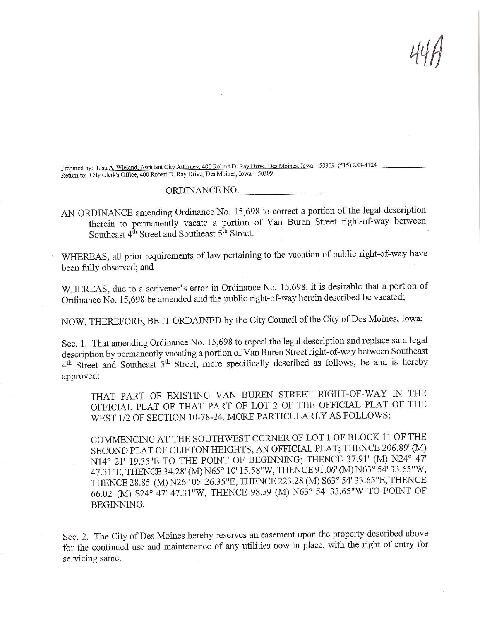Prepared by: Lisa A, Wieland, Assistant City Attorney, 400 Robert D. Ray Drive, Des Moines, Iowa 50309 (515) 283-4124 Return to: City Clerk's Office, 400 Robert D. Ray Drive, Des Moines, Iowa 50309

## ORDINANCE NO.

AN ORDINANCE amending Ordinance No. 15,698 to correct a portion of the legal description therein to permanently vacate a portion of Van Buren Street right-of-way between Southeast 4<sup>th</sup> Street and Southeast 5<sup>th</sup> Street.

WHEREAS, all prior requirements of law pertaining to the vacation of public right-of-way have been fully observed; and

WHEREAS, due to a scrivener's error in Ordinance No. 15,698, it is desirable that a portion of Ordinance No. 15,698 be amended and the public right-of-way herein described be vacated;

NOW, THEREFORE, BE IT ORDAINED by the City Council of the City of Des Moines, Iowa:

Sec. 1. That amending Ordinance No. 15,698 to repeal the legal description and replace said legal description by permanently vacating aportion of Van Buren Street right-of-way between Southeast 4<sup>th</sup> Street and Southeast 5<sup>th</sup> Street, more specifically described as follows, be and is hereby approved:

THAT PART OF EXISTING VAN BUREN STREET RIGHT-OF-WAY IN THE OFFICIAL PLAT OF THAT PART OF LOT 2 OF THE OFFICIAL PLAT OF THE WEST 1/2 OF SECTION 10-78-24, MORE PARTICULARLY AS FOLLOWS:

COMMENCING AT THE SOUTHWEST CORNER OF LOT 1 OF BLOCK 11 OF THE SECOND PLAT OF CLIFTON HEIGHTS, AN OFFICIAL PLAT; THENCE 206.89' (M) N14° 21' 19.35"E TO THE POINT OF BEGINNING; THENCE 37.91' (M) N24° 47' 47.31"E, THENCE 34.28' (M) N65° 10' 15.58"W, THENCE 91.06' (M) N63° 54' 33.65"W, THENCE 28.85'(M) N26° 05'26.35"E, THENCE 223.28 (M)S63° 54'33.65"E, THENCE 66.02' (M) S24° 47' 47.31"W, THENCE 98.59 (M) N63° 54' 33.65"W TO POrNT OF BEGINNING.

Sec. 2. The City of Des Moines hereby reserves an easement upon the property described above for the continued use and maintenance of any utilities now in place, with the right of enty for servicing same.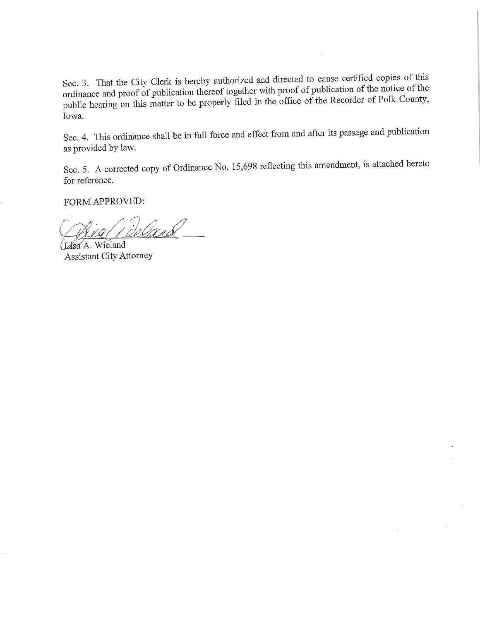Sec. 3. That the City Clerk is hereby authorized and directed to cause certified copies of this imance and proof of publication thereof together with proof the  $P_{\text{e}^{\text{c}}}\text{cos}^2 t$  of the notice of  $P_{\text{o}}\text{lk}$  County put hearing on this matter to be properly filed in the office of Iowa.

Sec. 4. This ordinance shall be in full force and effect from and after its passage and publication as provided by law.

Sec. 5. A corrected copy of Ordinance No. 15,698 reflecting this amendment, is attached hereto for reference.

FORM APPROVED:

Deland

Lisa A. Wieland Assistant City Attorney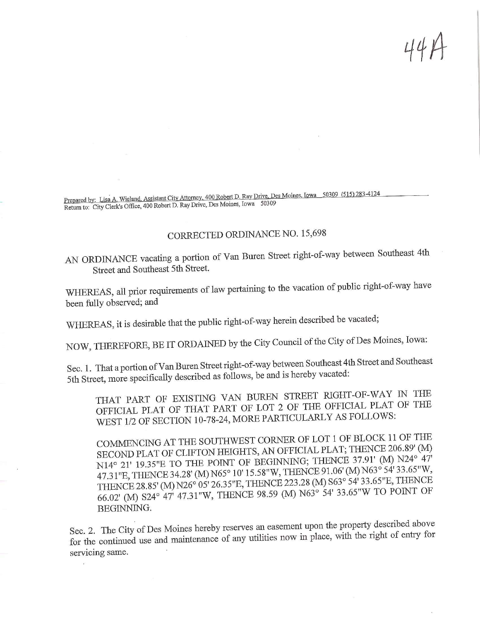Prepared by: Lisa A. Wieland, Assistant City Attomey, 400 Robert D. Ray Drive, Des Moines, Iowa 50309 (515) 283-4124 Return to: City Clerk's Office, 400 Robert D. Ray Drive, Des Moines, Iowa 50309

## CORRECTED ORDINANCE NO. 15,698

AN ORDINANCE vacating a portion of Van Buren Street right-of-way between Southeast 4th Street and Southeast 5th Street.

WHEREAS, all prior requirements of law pertaining to the vacation of public right-of-way have been fully observed; and

WHEREAS, it is desirable that the public right-of-way herein described be vacated;

NOW, THEREFORE, BE IT ORDAINED by the City Council of the City of Des Moines, Iowa:

Sec. 1. That a portion of Van Buren Street right-of-way between Southeast 4th Street and Southeast 5th Street, more specifically described as follows, be and is hereby vacated:

THAT PART OF EXISTING VAN BUREN STREET RIGHT-OF-WAY IN THE OFFICIAL PLAT OF THAT PART OF LOT 2 OF THE OFFICIAL PLAT OF THE PFICIAL PLAT OF THAT TAKE OF THE OFFICIAL ARE FOLLOWS: WEST 1/2 OF SECTION 10-78-24, MORE PARTICULARLY

COMMENCING AT THE SOUTHWEST CORNER OF LOT 1 OF BLOCK 11 OF THE SECOND PLAT OF CLIFTON HEIGHTS, AN OFFICIAL PLAT; THENCE 206.89' (M) N14° 21' 19.35"E TO THE POINT OF BEGINNING; THENCE 37.91' (M) N24° 47' 47.31"E, THENCE 34.28' (M) N65° 10' 15.58"W, THENCE 91.06' (M) N63° 54' 33.65"W, THENCE 28.85' (M) N26° 05' 26.35"E, THENCE 223.28 (M) S63° 54' 33.65"E, THENCE  $T_{\text{HENCE}}$  28.85' (M) N26' 05' 26.35" ETHER OF 22.28 (A) N53° 54' 33.65"W TO POINT OF  $66.02$  (M) S24° 47' 47.31° W, THENCE 98.59 (M) BEGINNING.

 $\mathcal{S}$  Eq. 2. The City of Des Monics hereby reserves and the property in place, with the proper of entry for for the continued use and maintenance of  $\frac{1}{2}$ servicing same.